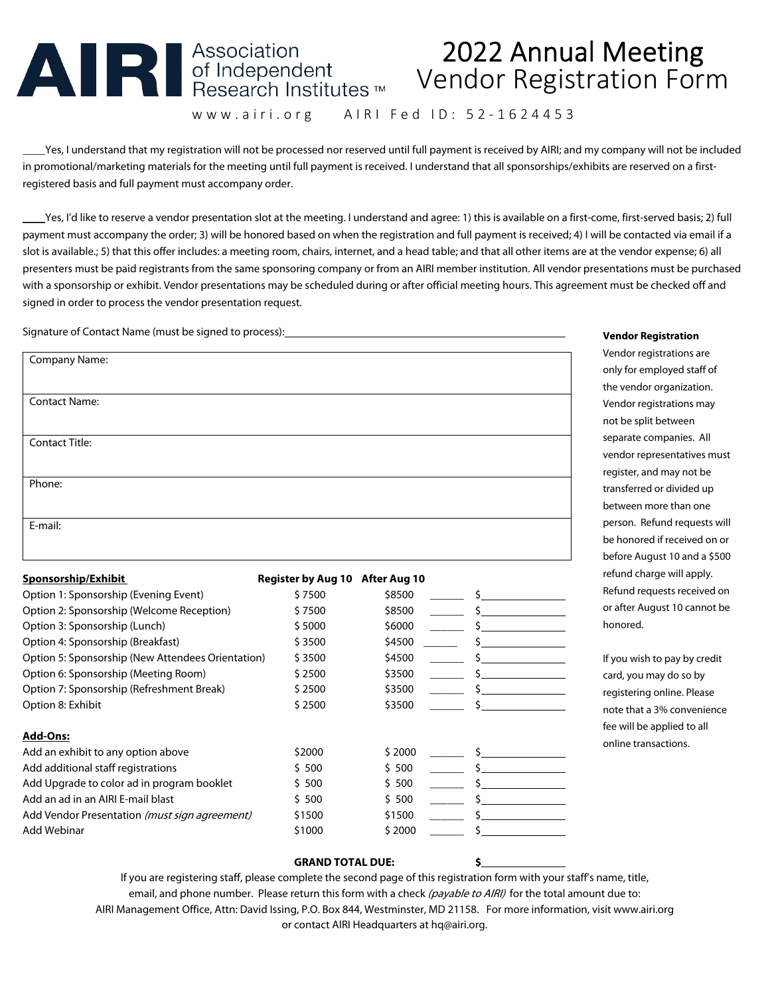# 

## 2022 Annual Meeting Vendor Registration Form

www.airi.org AIRI Fed ID: 52-1624453

\_\_\_\_Yes, I understand that my registration will not be processed nor reserved until full payment is received by AIRI; and my company will not be included in promotional/marketing materials for the meeting until full payment is received. I understand that all sponsorships/exhibits are reserved on a firstregistered basis and full payment must accompany order.

**\_\_\_\_**Yes, I'd like to reserve a vendor presentation slot at the meeting. I understand and agree: 1) this is available on a first-come, first-served basis; 2) full payment must accompany the order; 3) will be honored based on when the registration and full payment is received; 4) I will be contacted via email if a slot is available.; 5) that this offer includes: a meeting room, chairs, internet, and a head table; and that all other items are at the vendor expense; 6) all presenters must be paid registrants from the same sponsoring company or from an AIRI member institution. All vendor presentations must be purchased with a sponsorship or exhibit. Vendor presentations may be scheduled during or after official meeting hours. This agreement must be checked off and signed in order to process the vendor presentation request.

Signature of Contact Name (must be signed to process):

| Company Name:         |  |  |
|-----------------------|--|--|
| <b>Contact Name:</b>  |  |  |
| <b>Contact Title:</b> |  |  |
| Phone:                |  |  |
|                       |  |  |
| E-mail:               |  |  |

| <b>Sponsorship/Exhibit</b>                        | <b>Register by Aug 10</b> | After Aug 10 |  |
|---------------------------------------------------|---------------------------|--------------|--|
| Option 1: Sponsorship (Evening Event)             | \$7500                    | \$8500       |  |
| Option 2: Sponsorship (Welcome Reception)         | \$7500                    | \$8500       |  |
| Option 3: Sponsorship (Lunch)                     | \$5000                    | \$6000       |  |
| Option 4: Sponsorship (Breakfast)                 | \$3500                    | \$4500       |  |
| Option 5: Sponsorship (New Attendees Orientation) | \$3500                    | \$4500       |  |
| Option 6: Sponsorship (Meeting Room)              | \$2500                    | \$3500       |  |
| Option 7: Sponsorship (Refreshment Break)         | \$2500                    | \$3500       |  |
| Option 8: Exhibit                                 | \$2500                    | \$3500       |  |
| <b>Add-Ons:</b>                                   |                           |              |  |
| Add an exhibit to any option above                | \$2000                    | \$2000       |  |
| Add additional staff registrations                | \$ 500                    | \$500        |  |
| Add Upgrade to color ad in program booklet        | \$ 500                    | \$500        |  |
| Add an ad in an AIRI E-mail blast                 | \$ 500                    | \$ 500       |  |
| Add Vendor Presentation (must sign agreement)     | \$1500                    | \$1500       |  |
| Add Webinar                                       | \$1000                    | \$2000       |  |
|                                                   |                           |              |  |

#### **Vendor Registration**

Vendor registrations are only for employed staff of the vendor organization. Vendor registrations may not be split between separate companies. All vendor representatives must register, and may not be transferred or divided up between more than one person. Refund requests will be honored if received on or before August 10 and a \$500 refund charge will apply. Refund requests received on or after August 10 cannot be honored.

If you wish to pay by credit card, you may do so by registering online. Please note that a 3% convenience fee will be applied to all online transactions.

#### **GRAND TOTAL DUE: \$**

If you are registering staff, please complete the second page of this registration form with your staff's name, title, email, and phone number. Please return this form with a check (payable to AIRI) for the total amount due to: AIRI Management Office, Attn: David Issing, P.O. Box 844, Westminster, MD 21158. For more information, visit www.airi.org or contact AIRI Headquarters at hq@airi.org.